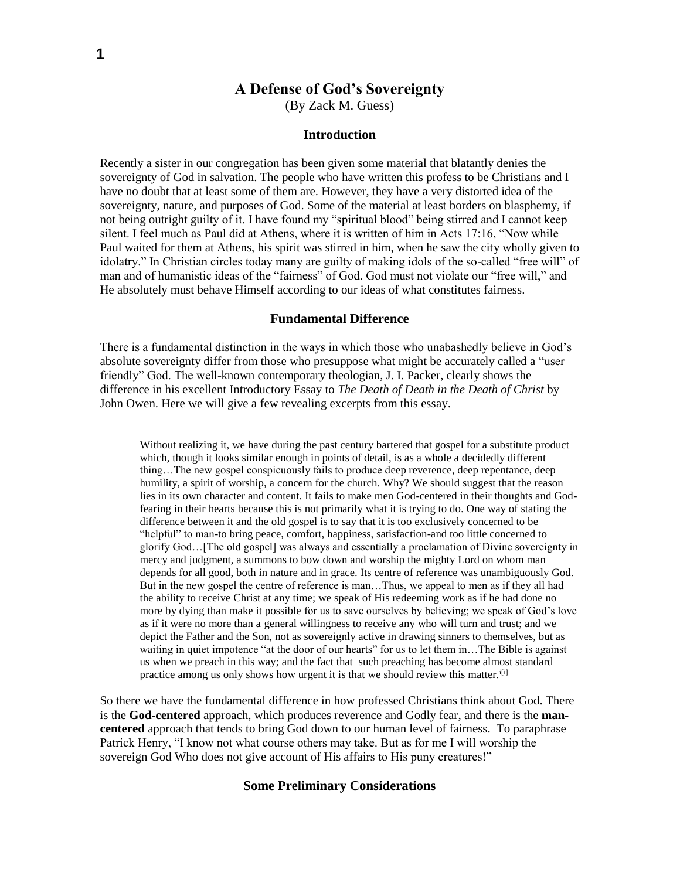# **A Defense of God's Sovereignty**

(By Zack M. Guess)

### **Introduction**

Recently a sister in our congregation has been given some material that blatantly denies the sovereignty of God in salvation. The people who have written this profess to be Christians and I have no doubt that at least some of them are. However, they have a very distorted idea of the sovereignty, nature, and purposes of God. Some of the material at least borders on blasphemy, if not being outright guilty of it. I have found my "spiritual blood" being stirred and I cannot keep silent. I feel much as Paul did at Athens, where it is written of him in Acts 17:16, "Now while Paul waited for them at Athens, his spirit was stirred in him, when he saw the city wholly given to idolatry." In Christian circles today many are guilty of making idols of the so-called "free will" of man and of humanistic ideas of the "fairness" of God. God must not violate our "free will," and He absolutely must behave Himself according to our ideas of what constitutes fairness.

### **Fundamental Difference**

There is a fundamental distinction in the ways in which those who unabashedly believe in God's absolute sovereignty differ from those who presuppose what might be accurately called a "user friendly" God. The well-known contemporary theologian, J. I. Packer, clearly shows the difference in his excellent Introductory Essay to *The Death of Death in the Death of Christ* by John Owen. Here we will give a few revealing excerpts from this essay.

Without realizing it, we have during the past century bartered that gospel for a substitute product which, though it looks similar enough in points of detail, is as a whole a decidedly different thing…The new gospel conspicuously fails to produce deep reverence, deep repentance, deep humility, a spirit of worship, a concern for the church. Why? We should suggest that the reason lies in its own character and content. It fails to make men God-centered in their thoughts and Godfearing in their hearts because this is not primarily what it is trying to do. One way of stating the difference between it and the old gospel is to say that it is too exclusively concerned to be "helpful" to man-to bring peace, comfort, happiness, satisfaction-and too little concerned to glorify God…[The old gospel] was always and essentially a proclamation of Divine sovereignty in mercy and judgment, a summons to bow down and worship the mighty Lord on whom man depends for all good, both in nature and in grace. Its centre of reference was unambiguously God. But in the new gospel the centre of reference is man…Thus, we appeal to men as if they all had the ability to receive Christ at any time; we speak of His redeeming work as if he had done no more by dying than make it possible for us to save ourselves by believing; we speak of God's love as if it were no more than a general willingness to receive any who will turn and trust; and we depict the Father and the Son, not as sovereignly active in drawing sinners to themselves, but as waiting in quiet impotence "at the door of our hearts" for us to let them in...The Bible is against us when we preach in this way; and the fact that such preaching has become almost standard practice among us only shows how urgent it is that we should review this matter.<sup>i[i]</sup>

So there we have the fundamental difference in how professed Christians think about God. There is the **God-centered** approach, which produces reverence and Godly fear, and there is the **mancentered** approach that tends to bring God down to our human level of fairness. To paraphrase Patrick Henry, "I know not what course others may take. But as for me I will worship the sovereign God Who does not give account of His affairs to His puny creatures!"

#### **Some Preliminary Considerations**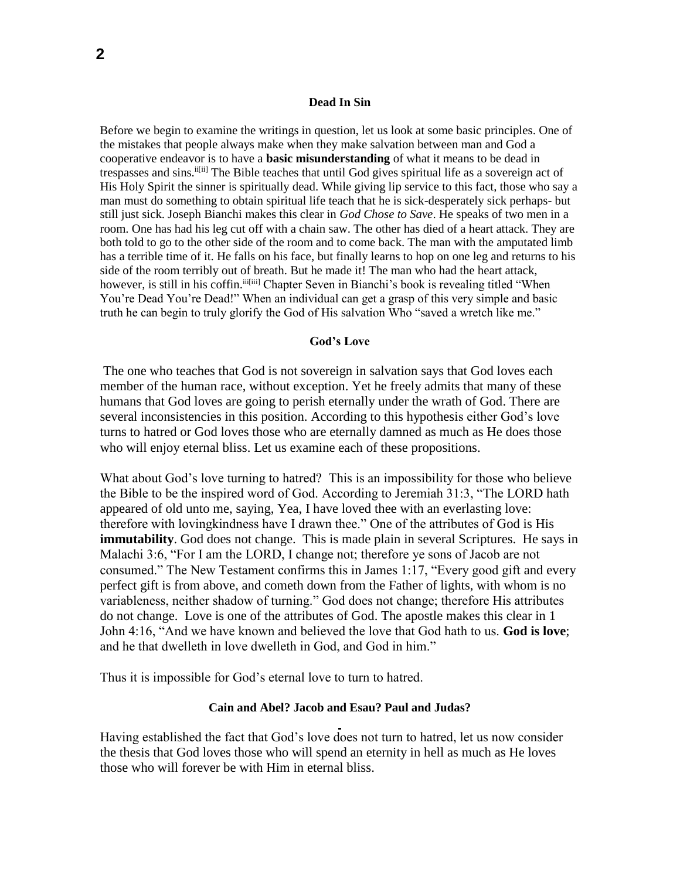#### **Dead In Sin**

Before we begin to examine the writings in question, let us look at some basic principles. One of the mistakes that people always make when they make salvation between man and God a cooperative endeavor is to have a **basic misunderstanding** of what it means to be dead in trespasses and sins.<sup>ii[ii]</sup> The Bible teaches that until God gives spiritual life as a sovereign act of His Holy Spirit the sinner is spiritually dead. While giving lip service to this fact, those who say a man must do something to obtain spiritual life teach that he is sick-desperately sick perhaps- but still just sick. Joseph Bianchi makes this clear in *God Chose to Save*. He speaks of two men in a room. One has had his leg cut off with a chain saw. The other has died of a heart attack. They are both told to go to the other side of the room and to come back. The man with the amputated limb has a terrible time of it. He falls on his face, but finally learns to hop on one leg and returns to his side of the room terribly out of breath. But he made it! The man who had the heart attack, however, is still in his coffin.<sup>iii[iii]</sup> Chapter Seven in Bianchi's book is revealing titled "When You're Dead You're Dead!" When an individual can get a grasp of this very simple and basic truth he can begin to truly glorify the God of His salvation Who "saved a wretch like me."

### **God's Love**

The one who teaches that God is not sovereign in salvation says that God loves each member of the human race, without exception. Yet he freely admits that many of these humans that God loves are going to perish eternally under the wrath of God. There are several inconsistencies in this position. According to this hypothesis either God's love turns to hatred or God loves those who are eternally damned as much as He does those who will enjoy eternal bliss. Let us examine each of these propositions.

What about God's love turning to hatred? This is an impossibility for those who believe the Bible to be the inspired word of God. According to Jeremiah 31:3, "The LORD hath appeared of old unto me, saying, Yea, I have loved thee with an everlasting love: therefore with lovingkindness have I drawn thee." One of the attributes of God is His **immutability**. God does not change. This is made plain in several Scriptures. He says in Malachi 3:6, "For I am the LORD, I change not; therefore ye sons of Jacob are not consumed." The New Testament confirms this in James 1:17, "Every good gift and every perfect gift is from above, and cometh down from the Father of lights, with whom is no variableness, neither shadow of turning." God does not change; therefore His attributes do not change. Love is one of the attributes of God. The apostle makes this clear in 1 John 4:16, "And we have known and believed the love that God hath to us. **God is love**; and he that dwelleth in love dwelleth in God, and God in him."

Thus it is impossible for God's eternal love to turn to hatred.

### **Cain and Abel? Jacob and Esau? Paul and Judas?**

Having established the fact that God's love does not turn to hatred, let us now consider the thesis that God loves those who will spend an eternity in hell as much as He loves those who will forever be with Him in eternal bliss.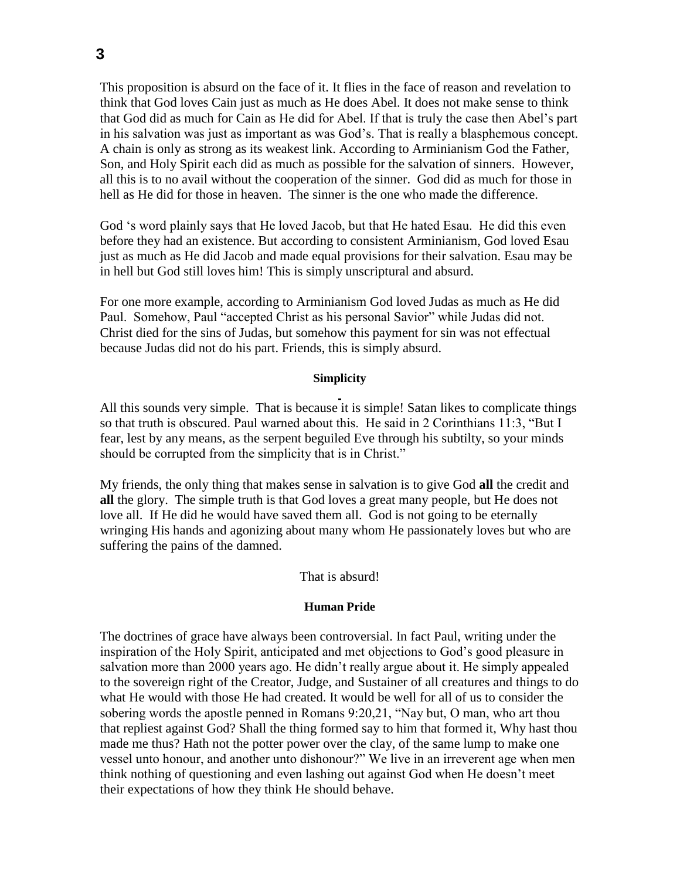This proposition is absurd on the face of it. It flies in the face of reason and revelation to think that God loves Cain just as much as He does Abel. It does not make sense to think that God did as much for Cain as He did for Abel. If that is truly the case then Abel's part in his salvation was just as important as was God's. That is really a blasphemous concept. A chain is only as strong as its weakest link. According to Arminianism God the Father, Son, and Holy Spirit each did as much as possible for the salvation of sinners. However, all this is to no avail without the cooperation of the sinner. God did as much for those in hell as He did for those in heaven. The sinner is the one who made the difference.

God 's word plainly says that He loved Jacob, but that He hated Esau. He did this even before they had an existence. But according to consistent Arminianism, God loved Esau just as much as He did Jacob and made equal provisions for their salvation. Esau may be in hell but God still loves him! This is simply unscriptural and absurd.

For one more example, according to Arminianism God loved Judas as much as He did Paul. Somehow, Paul "accepted Christ as his personal Savior" while Judas did not. Christ died for the sins of Judas, but somehow this payment for sin was not effectual because Judas did not do his part. Friends, this is simply absurd.

### **Simplicity**

All this sounds very simple. That is because it is simple! Satan likes to complicate things so that truth is obscured. Paul warned about this. He said in 2 Corinthians 11:3, "But I fear, lest by any means, as the serpent beguiled Eve through his subtilty, so your minds should be corrupted from the simplicity that is in Christ."

My friends, the only thing that makes sense in salvation is to give God **all** the credit and **all** the glory. The simple truth is that God loves a great many people, but He does not love all. If He did he would have saved them all. God is not going to be eternally wringing His hands and agonizing about many whom He passionately loves but who are suffering the pains of the damned.

#### That is absurd!

#### **Human Pride**

The doctrines of grace have always been controversial. In fact Paul, writing under the inspiration of the Holy Spirit, anticipated and met objections to God's good pleasure in salvation more than 2000 years ago. He didn't really argue about it. He simply appealed to the sovereign right of the Creator, Judge, and Sustainer of all creatures and things to do what He would with those He had created. It would be well for all of us to consider the sobering words the apostle penned in Romans 9:20,21, "Nay but, O man, who art thou that repliest against God? Shall the thing formed say to him that formed it, Why hast thou made me thus? Hath not the potter power over the clay, of the same lump to make one vessel unto honour, and another unto dishonour?" We live in an irreverent age when men think nothing of questioning and even lashing out against God when He doesn't meet their expectations of how they think He should behave.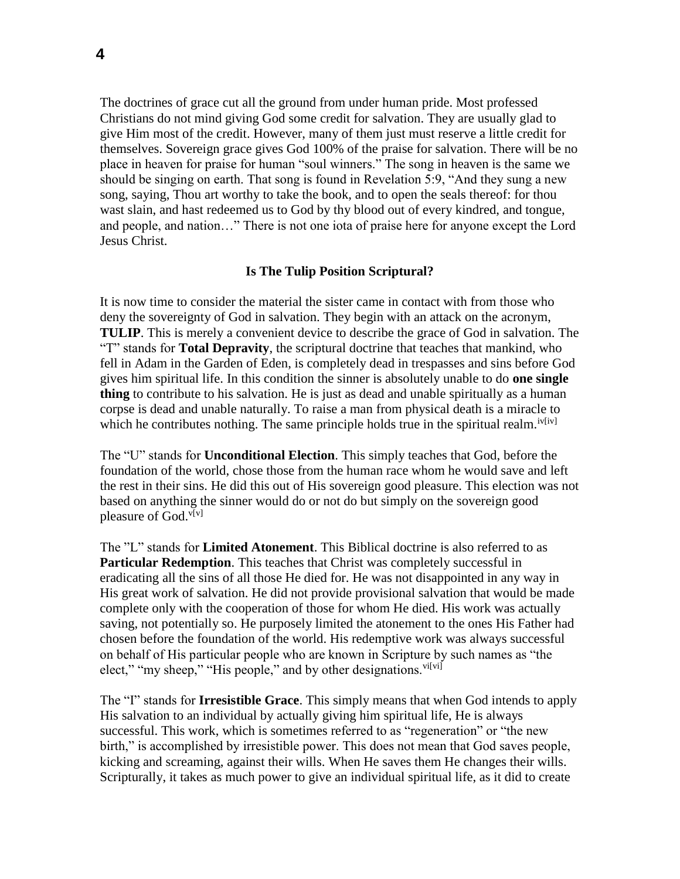The doctrines of grace cut all the ground from under human pride. Most professed Christians do not mind giving God some credit for salvation. They are usually glad to give Him most of the credit. However, many of them just must reserve a little credit for themselves. Sovereign grace gives God 100% of the praise for salvation. There will be no place in heaven for praise for human "soul winners." The song in heaven is the same we should be singing on earth. That song is found in Revelation 5:9, "And they sung a new song, saying, Thou art worthy to take the book, and to open the seals thereof: for thou wast slain, and hast redeemed us to God by thy blood out of every kindred, and tongue, and people, and nation…" There is not one iota of praise here for anyone except the Lord Jesus Christ.

#### **Is The Tulip Position Scriptural?**

It is now time to consider the material the sister came in contact with from those who deny the sovereignty of God in salvation. They begin with an attack on the acronym, **TULIP**. This is merely a convenient device to describe the grace of God in salvation. The "T" stands for **Total Depravity**, the scriptural doctrine that teaches that mankind, who fell in Adam in the Garden of Eden, is completely dead in trespasses and sins before God gives him spiritual life. In this condition the sinner is absolutely unable to do **one single thing** to contribute to his salvation. He is just as dead and unable spiritually as a human corpse is dead and unable naturally. To raise a man from physical death is a miracle to which he contributes nothing. The same principle holds true in the spiritual realm.<sup>iv[iv]</sup>

The "U" stands for **Unconditional Election**. This simply teaches that God, before the foundation of the world, chose those from the human race whom he would save and left the rest in their sins. He did this out of His sovereign good pleasure. This election was not based on anything the sinner would do or not do but simply on the sovereign good pleasure of God.<sup>v[v]</sup>

The "L" stands for **Limited Atonement**. This Biblical doctrine is also referred to as **Particular Redemption**. This teaches that Christ was completely successful in eradicating all the sins of all those He died for. He was not disappointed in any way in His great work of salvation. He did not provide provisional salvation that would be made complete only with the cooperation of those for whom He died. His work was actually saving, not potentially so. He purposely limited the atonement to the ones His Father had chosen before the foundation of the world. His redemptive work was always successful on behalf of His particular people who are known in Scripture by such names as "the elect," "my sheep," "His people," and by other designations.  $\frac{vi[v]}{v}$ 

The "I" stands for **Irresistible Grace**. This simply means that when God intends to apply His salvation to an individual by actually giving him spiritual life, He is always successful. This work, which is sometimes referred to as "regeneration" or "the new birth," is accomplished by irresistible power. This does not mean that God saves people, kicking and screaming, against their wills. When He saves them He changes their wills. Scripturally, it takes as much power to give an individual spiritual life, as it did to create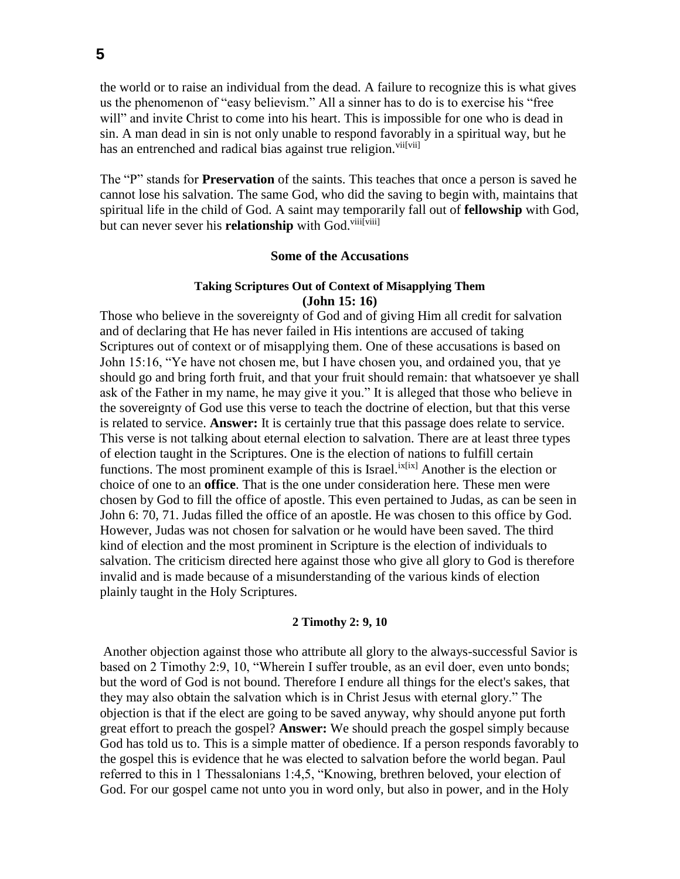the world or to raise an individual from the dead. A failure to recognize this is what gives us the phenomenon of "easy believism." All a sinner has to do is to exercise his "free will" and invite Christ to come into his heart. This is impossible for one who is dead in sin. A man dead in sin is not only unable to respond favorably in a spiritual way, but he has an entrenched and radical bias against true religion.<sup>vii[vii]</sup>

The "P" stands for **Preservation** of the saints. This teaches that once a person is saved he cannot lose his salvation. The same God, who did the saving to begin with, maintains that spiritual life in the child of God. A saint may temporarily fall out of **fellowship** with God, but can never sever his **relationship** with God.<sup>viii[viii]</sup>

### **Some of the Accusations**

## **Taking Scriptures Out of Context of Misapplying Them (John 15: 16)**

Those who believe in the sovereignty of God and of giving Him all credit for salvation and of declaring that He has never failed in His intentions are accused of taking Scriptures out of context or of misapplying them. One of these accusations is based on John 15:16, "Ye have not chosen me, but I have chosen you, and ordained you, that ye should go and bring forth fruit, and that your fruit should remain: that whatsoever ye shall ask of the Father in my name, he may give it you." It is alleged that those who believe in the sovereignty of God use this verse to teach the doctrine of election, but that this verse is related to service. **Answer:** It is certainly true that this passage does relate to service. This verse is not talking about eternal election to salvation. There are at least three types of election taught in the Scriptures. One is the election of nations to fulfill certain functions. The most prominent example of this is Israel.<sup>ix[ix]</sup> Another is the election or choice of one to an **office**. That is the one under consideration here. These men were chosen by God to fill the office of apostle. This even pertained to Judas, as can be seen in John 6: 70, 71. Judas filled the office of an apostle. He was chosen to this office by God. However, Judas was not chosen for salvation or he would have been saved. The third kind of election and the most prominent in Scripture is the election of individuals to salvation. The criticism directed here against those who give all glory to God is therefore invalid and is made because of a misunderstanding of the various kinds of election plainly taught in the Holy Scriptures.

### **2 Timothy 2: 9, 10**

Another objection against those who attribute all glory to the always-successful Savior is based on 2 Timothy 2:9, 10, "Wherein I suffer trouble, as an evil doer, even unto bonds; but the word of God is not bound. Therefore I endure all things for the elect's sakes, that they may also obtain the salvation which is in Christ Jesus with eternal glory." The objection is that if the elect are going to be saved anyway, why should anyone put forth great effort to preach the gospel? **Answer:** We should preach the gospel simply because God has told us to. This is a simple matter of obedience. If a person responds favorably to the gospel this is evidence that he was elected to salvation before the world began. Paul referred to this in 1 Thessalonians 1:4,5, "Knowing, brethren beloved, your election of God. For our gospel came not unto you in word only, but also in power, and in the Holy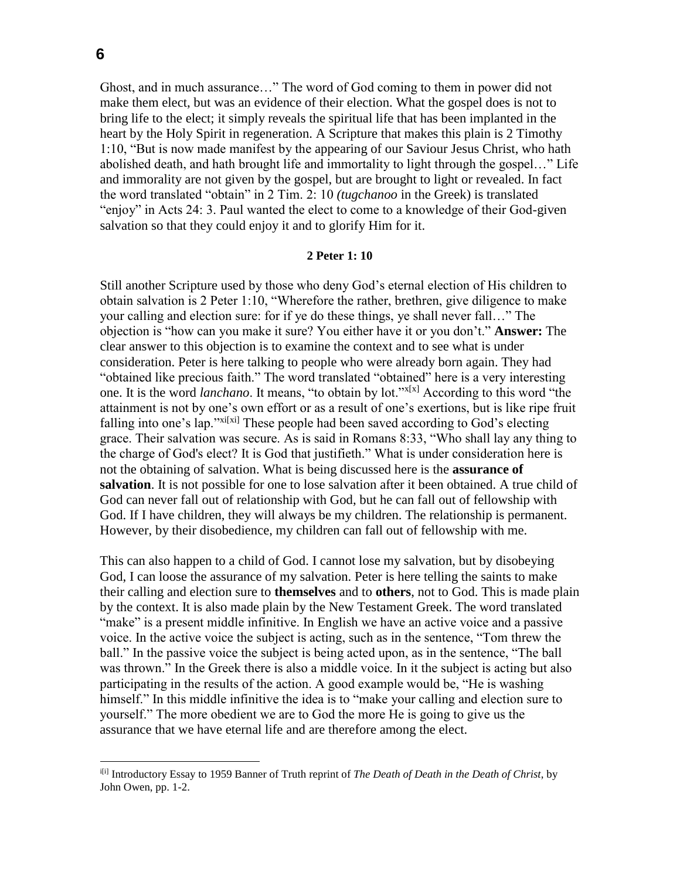$\overline{a}$ 

Ghost, and in much assurance…" The word of God coming to them in power did not make them elect, but was an evidence of their election. What the gospel does is not to bring life to the elect; it simply reveals the spiritual life that has been implanted in the heart by the Holy Spirit in regeneration. A Scripture that makes this plain is 2 Timothy 1:10, "But is now made manifest by the appearing of our Saviour Jesus Christ, who hath abolished death, and hath brought life and immortality to light through the gospel…" Life and immorality are not given by the gospel, but are brought to light or revealed. In fact the word translated "obtain" in 2 Tim. 2: 10 *(tugchanoo* in the Greek) is translated "enjoy" in Acts 24: 3. Paul wanted the elect to come to a knowledge of their God-given salvation so that they could enjoy it and to glorify Him for it.

### **2 Peter 1: 10**

Still another Scripture used by those who deny God's eternal election of His children to obtain salvation is 2 Peter 1:10, "Wherefore the rather, brethren, give diligence to make your calling and election sure: for if ye do these things, ye shall never fall…" The objection is "how can you make it sure? You either have it or you don't." **Answer:** The clear answer to this objection is to examine the context and to see what is under consideration. Peter is here talking to people who were already born again. They had "obtained like precious faith." The word translated "obtained" here is a very interesting one. It is the word *lanchano*. It means, "to obtain by lot."x[x] According to this word "the attainment is not by one's own effort or as a result of one's exertions, but is like ripe fruit falling into one's lap."<sup>xi[xi]</sup> These people had been saved according to God's electing grace. Their salvation was secure. As is said in Romans 8:33, "Who shall lay any thing to the charge of God's elect? It is God that justifieth." What is under consideration here is not the obtaining of salvation. What is being discussed here is the **assurance of salvation**. It is not possible for one to lose salvation after it been obtained. A true child of God can never fall out of relationship with God, but he can fall out of fellowship with God. If I have children, they will always be my children. The relationship is permanent. However, by their disobedience, my children can fall out of fellowship with me.

This can also happen to a child of God. I cannot lose my salvation, but by disobeying God, I can loose the assurance of my salvation. Peter is here telling the saints to make their calling and election sure to **themselves** and to **others**, not to God. This is made plain by the context. It is also made plain by the New Testament Greek. The word translated "make" is a present middle infinitive. In English we have an active voice and a passive voice. In the active voice the subject is acting, such as in the sentence, "Tom threw the ball." In the passive voice the subject is being acted upon, as in the sentence, "The ball was thrown." In the Greek there is also a middle voice. In it the subject is acting but also participating in the results of the action. A good example would be, "He is washing himself." In this middle infinitive the idea is to "make your calling and election sure to yourself." The more obedient we are to God the more He is going to give us the assurance that we have eternal life and are therefore among the elect.

i<sup>[i]</sup> Introductory Essay to 1959 Banner of Truth reprint of *The Death of Death in the Death of Christ*, by John Owen, pp. 1-2.